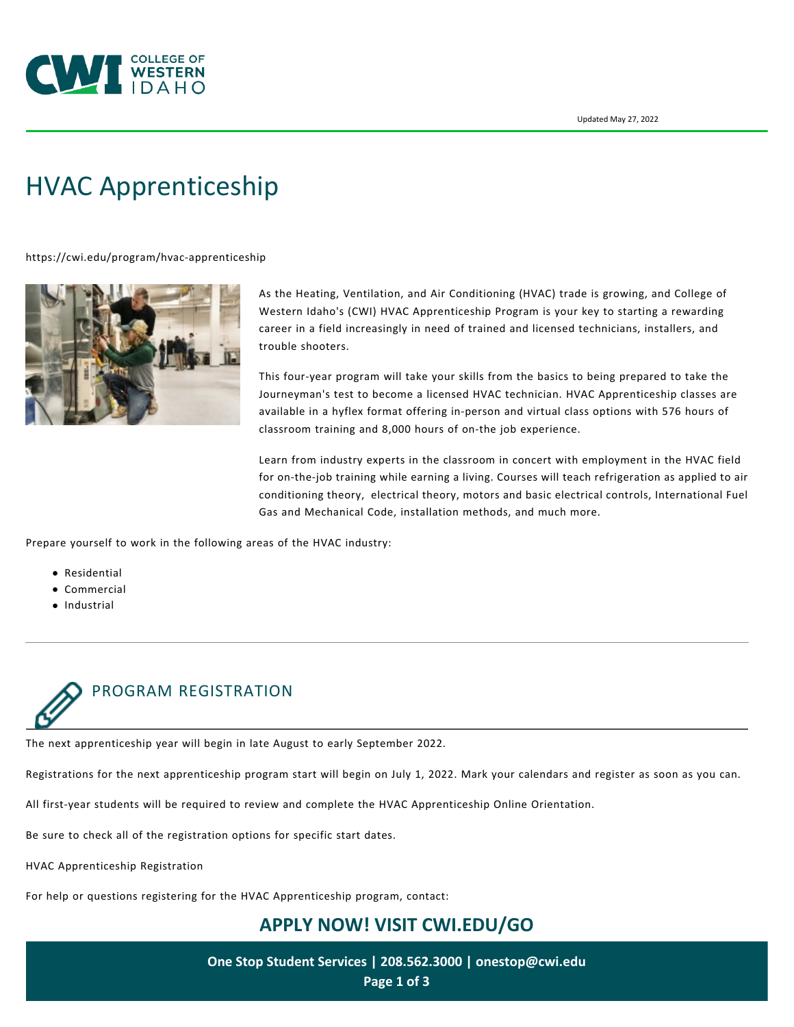

# [HVAC Apprenticeship](https://cwi.edu/program/hvac-apprenticeship)

<https://cwi.edu/program/hvac-apprenticeship>



As the Heating, Ventilation, and Air Conditioning (HVAC) trade is growing, and College of Western Idaho's (CWI) HVAC Apprenticeship Program is your key to starting a rewarding career in a field increasingly in need of trained and licensed technicians, installers, and trouble shooters.

This four-year program will take your skills from the basics to being prepared to take the Journeyman's test to become a licensed HVAC technician. HVAC Apprenticeship classes are available in a hyflex format offering in-person and virtual class options with 576 hours of classroom training and 8,000 hours of on-the job experience.

Learn from industry experts in the classroom in concert with employment in the HVAC field for on-the-job training while earning a living. Courses will teach refrigeration as applied to air conditioning theory, electrical theory, motors and basic electrical controls, International Fuel Gas and Mechanical Code, installation methods, and much more.

Prepare yourself to work in the following areas of the HVAC industry:

- Residential
- Commercial
- Industrial



The next apprenticeship year will begin in late August to early September 2022.

Registrations for the next apprenticeship program start will begin on July 1, 2022. Mark your calendars and register as soon as you can.

All first-year students will be required to review and complete the [HVAC Apprenticeship Online Orientation](https://cwi.edu/programs-degrees/hvac-apprenticeship-online-orientation).

Be sure to check all of the registration options for specific start dates.

[HVAC Apprenticeship Registration](https://cwi.augusoft.net/index.cfm?method=ClassListing.ClassListingDisplay&int_category_id=1&int_sub_category_id=4&int_catalog_id=)

For help or questions registering for the HVAC Apprenticeship program, contact:

# **APPLY NOW! VISIT [CWI.EDU/GO](http://cwi.edu/go)**

**One Stop Student Services | 208.562.3000 | [onestop@cwi.edu](mailto:onestop@cwi.edu) Page 1 of 3**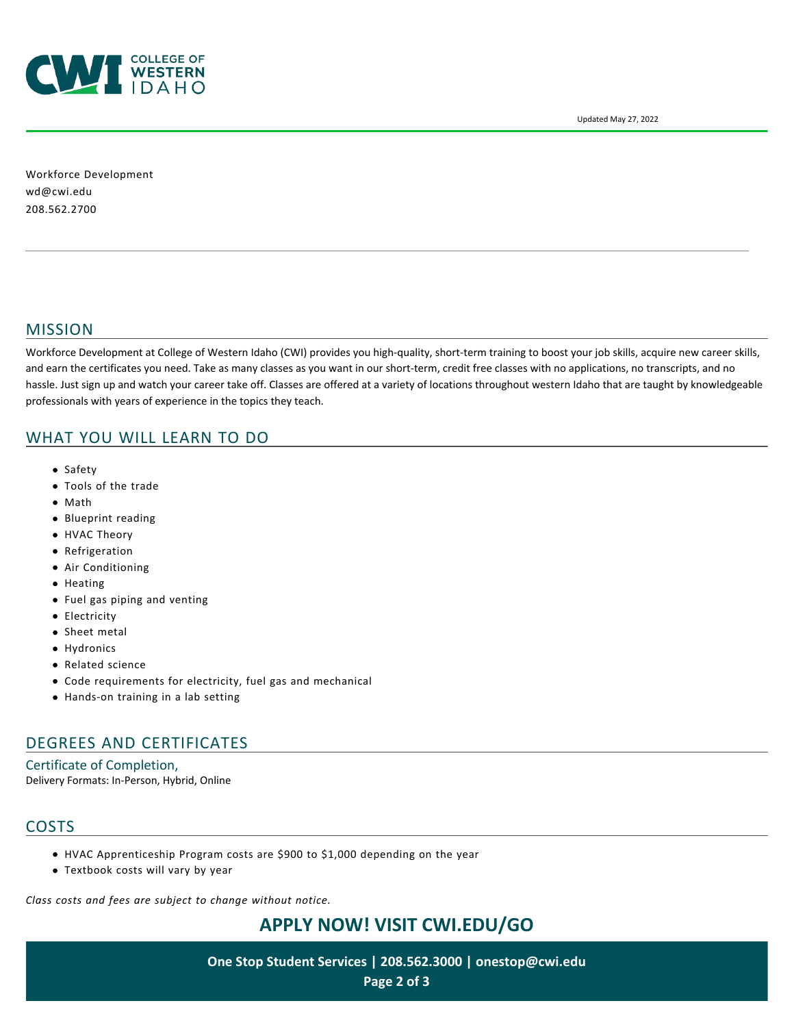

Updated May 27, 2022

Workforce Development [wd@cwi.edu](mailto:wd@cwi.edu) 208.562.2700

#### MISSION

Workforce Development at College of Western Idaho (CWI) provides you high-quality, short-term training to boost your job skills, acquire new career skills, and earn the certificates you need. Take as many classes as you want in our short-term, credit free classes with no applications, no transcripts, and no hassle. Just sign up and watch your career take off. Classes are offered at a variety of locations throughout western Idaho that are taught by knowledgeable professionals with years of experience in the topics they teach.

# WHAT YOU WILL LEARN TO DO

- Safety
- Tools of the trade
- Math
- Blueprint reading
- HVAC Theory
- **•** Refrigeration
- Air Conditioning
- Heating
- Fuel gas piping and venting
- **•** Electricity
- Sheet metal
- Hydronics
- Related science
- Code requirements for electricity, fuel gas and mechanical
- Hands-on training in a lab setting

# DEGREES AND CERTIFICATES

Certificate of Completion, Delivery Formats: In-Person, Hybrid, Online

# **COSTS**

- HVAC Apprenticeship Program costs are \$900 to \$1,000 depending on the year
- Textbook costs will vary by year

*Class costs and fees are subject to change without notice.*

# **APPLY NOW! VISIT [CWI.EDU/GO](http://cwi.edu/go)**

**One Stop Student Services | 208.562.3000 | [onestop@cwi.edu](mailto:onestop@cwi.edu) Page 2 of 3**